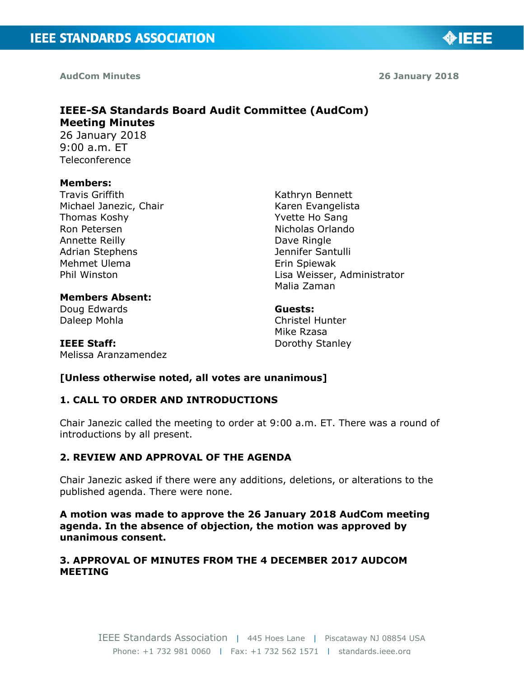**AudCom Minutes** 

**26 January 2018**

◈IEEE

## **IEEE-SA Standards Board Audit Committee (AudCom) Meeting Minutes**  26 January 2018 9:00 a.m. ET

Teleconference

#### **Members:**

Travis Griffith Michael Janezic, Chair Thomas Koshy Ron Petersen Annette Reilly Adrian Stephens Mehmet Ulema Phil Winston

Kathryn Bennett Karen Evangelista Yvette Ho Sang Nicholas Orlando Dave Ringle Jennifer Santulli Erin Spiewak Lisa Weisser, Administrator Malia Zaman

**Members Absent:** Doug Edwards Daleep Mohla

Melissa Aranzamendez

**IEEE Staff:**

**Guests:**  Christel Hunter Mike Rzasa Dorothy Stanley

# **[Unless otherwise noted, all votes are unanimous]**

# **1. CALL TO ORDER AND INTRODUCTIONS**

Chair Janezic called the meeting to order at 9:00 a.m. ET. There was a round of introductions by all present.

# **2. REVIEW AND APPROVAL OF THE AGENDA**

Chair Janezic asked if there were any additions, deletions, or alterations to the published agenda. There were none.

**A motion was made to approve the 26 January 2018 AudCom meeting agenda. In the absence of objection, the motion was approved by unanimous consent.**

## **3. APPROVAL OF MINUTES FROM THE 4 DECEMBER 2017 AUDCOM MEETING**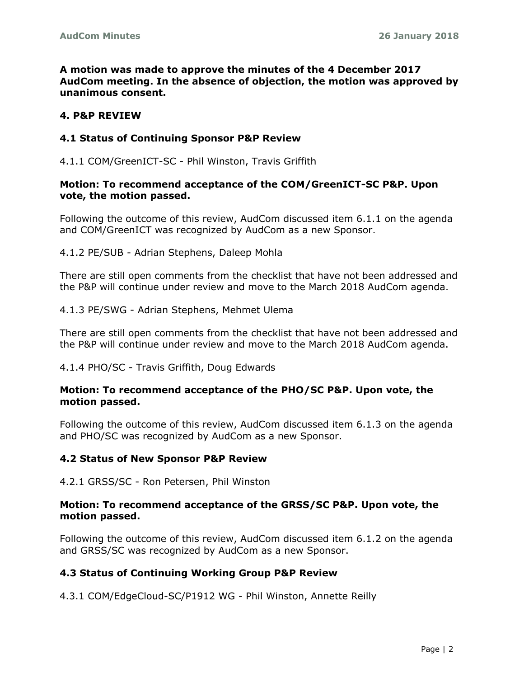**A motion was made to approve the minutes of the 4 December 2017 AudCom meeting. In the absence of objection, the motion was approved by unanimous consent.**

## **4. P&P REVIEW**

#### **4.1 Status of Continuing Sponsor P&P Review**

4.1.1 COM/GreenICT-SC - Phil Winston, Travis Griffith

#### **Motion: To recommend acceptance of the COM/GreenICT-SC P&P. Upon vote, the motion passed.**

Following the outcome of this review, AudCom discussed item 6.1.1 on the agenda and COM/GreenICT was recognized by AudCom as a new Sponsor.

4.1.2 PE/SUB - Adrian Stephens, Daleep Mohla

There are still open comments from the checklist that have not been addressed and the P&P will continue under review and move to the March 2018 AudCom agenda.

4.1.3 PE/SWG - Adrian Stephens, Mehmet Ulema

There are still open comments from the checklist that have not been addressed and the P&P will continue under review and move to the March 2018 AudCom agenda.

4.1.4 PHO/SC - Travis Griffith, Doug Edwards

#### **Motion: To recommend acceptance of the PHO/SC P&P. Upon vote, the motion passed.**

Following the outcome of this review, AudCom discussed item 6.1.3 on the agenda and PHO/SC was recognized by AudCom as a new Sponsor.

#### **4.2 Status of New Sponsor P&P Review**

4.2.1 GRSS/SC - Ron Petersen, Phil Winston

#### **Motion: To recommend acceptance of the GRSS/SC P&P. Upon vote, the motion passed.**

Following the outcome of this review, AudCom discussed item 6.1.2 on the agenda and GRSS/SC was recognized by AudCom as a new Sponsor.

#### **4.3 Status of Continuing Working Group P&P Review**

4.3.1 COM/EdgeCloud-SC/P1912 WG - Phil Winston, Annette Reilly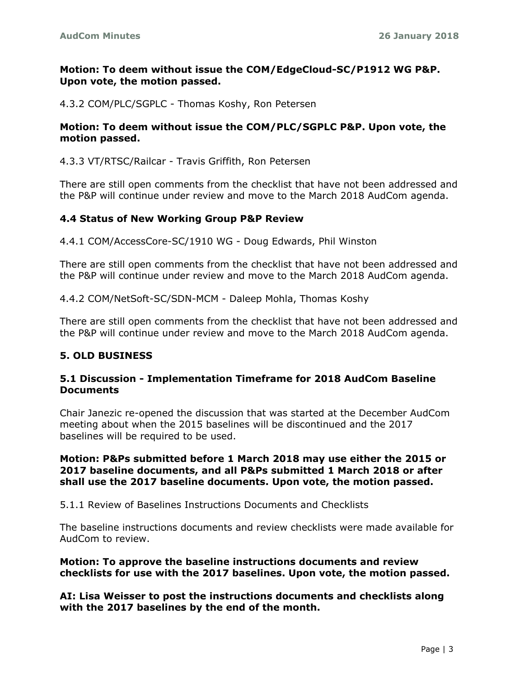## **Motion: To deem without issue the COM/EdgeCloud-SC/P1912 WG P&P. Upon vote, the motion passed.**

4.3.2 COM/PLC/SGPLC - Thomas Koshy, Ron Petersen

### **Motion: To deem without issue the COM/PLC/SGPLC P&P. Upon vote, the motion passed.**

#### 4.3.3 VT/RTSC/Railcar - Travis Griffith, Ron Petersen

There are still open comments from the checklist that have not been addressed and the P&P will continue under review and move to the March 2018 AudCom agenda.

#### **4.4 Status of New Working Group P&P Review**

4.4.1 COM/AccessCore-SC/1910 WG - Doug Edwards, Phil Winston

There are still open comments from the checklist that have not been addressed and the P&P will continue under review and move to the March 2018 AudCom agenda.

4.4.2 COM/NetSoft-SC/SDN-MCM - Daleep Mohla, Thomas Koshy

There are still open comments from the checklist that have not been addressed and the P&P will continue under review and move to the March 2018 AudCom agenda.

#### **5. OLD BUSINESS**

#### **5.1 Discussion - Implementation Timeframe for 2018 AudCom Baseline Documents**

Chair Janezic re-opened the discussion that was started at the December AudCom meeting about when the 2015 baselines will be discontinued and the 2017 baselines will be required to be used.

#### **Motion: P&Ps submitted before 1 March 2018 may use either the 2015 or 2017 baseline documents, and all P&Ps submitted 1 March 2018 or after shall use the 2017 baseline documents. Upon vote, the motion passed.**

5.1.1 Review of Baselines Instructions Documents and Checklists

The baseline instructions documents and review checklists were made available for AudCom to review.

#### **Motion: To approve the baseline instructions documents and review checklists for use with the 2017 baselines. Upon vote, the motion passed.**

**AI: Lisa Weisser to post the instructions documents and checklists along with the 2017 baselines by the end of the month.**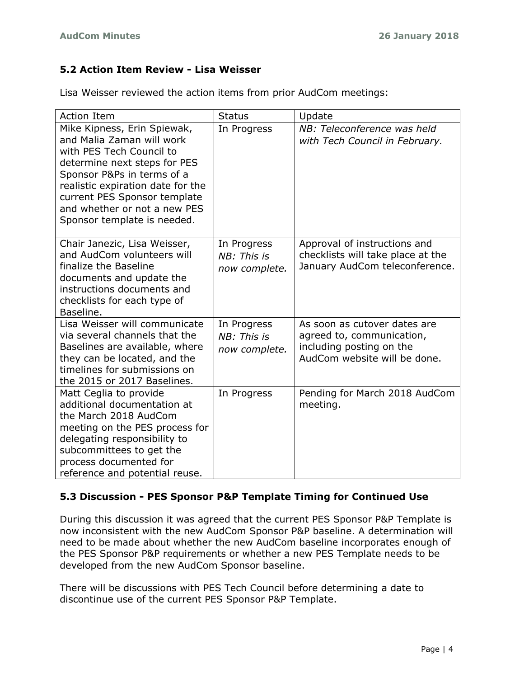# **5.2 Action Item Review - Lisa Weisser**

Lisa Weisser reviewed the action items from prior AudCom meetings:

| <b>Action Item</b>                                                                                                                                                                                                                                                                     | <b>Status</b>                               | Update                                                                                                                |
|----------------------------------------------------------------------------------------------------------------------------------------------------------------------------------------------------------------------------------------------------------------------------------------|---------------------------------------------|-----------------------------------------------------------------------------------------------------------------------|
| Mike Kipness, Erin Spiewak,<br>and Malia Zaman will work<br>with PES Tech Council to<br>determine next steps for PES<br>Sponsor P&Ps in terms of a<br>realistic expiration date for the<br>current PES Sponsor template<br>and whether or not a new PES<br>Sponsor template is needed. | In Progress                                 | NB: Teleconference was held<br>with Tech Council in February.                                                         |
| Chair Janezic, Lisa Weisser,<br>and AudCom volunteers will<br>finalize the Baseline<br>documents and update the<br>instructions documents and<br>checklists for each type of<br>Baseline.                                                                                              | In Progress<br>NB: This is<br>now complete. | Approval of instructions and<br>checklists will take place at the<br>January AudCom teleconference.                   |
| Lisa Weisser will communicate<br>via several channels that the<br>Baselines are available, where<br>they can be located, and the<br>timelines for submissions on<br>the 2015 or 2017 Baselines.                                                                                        | In Progress<br>NB: This is<br>now complete. | As soon as cutover dates are<br>agreed to, communication,<br>including posting on the<br>AudCom website will be done. |
| Matt Ceglia to provide<br>additional documentation at<br>the March 2018 AudCom<br>meeting on the PES process for<br>delegating responsibility to<br>subcommittees to get the<br>process documented for<br>reference and potential reuse.                                               | In Progress                                 | Pending for March 2018 AudCom<br>meeting.                                                                             |

# **5.3 Discussion - PES Sponsor P&P Template Timing for Continued Use**

During this discussion it was agreed that the current PES Sponsor P&P Template is now inconsistent with the new AudCom Sponsor P&P baseline. A determination will need to be made about whether the new AudCom baseline incorporates enough of the PES Sponsor P&P requirements or whether a new PES Template needs to be developed from the new AudCom Sponsor baseline.

There will be discussions with PES Tech Council before determining a date to discontinue use of the current PES Sponsor P&P Template.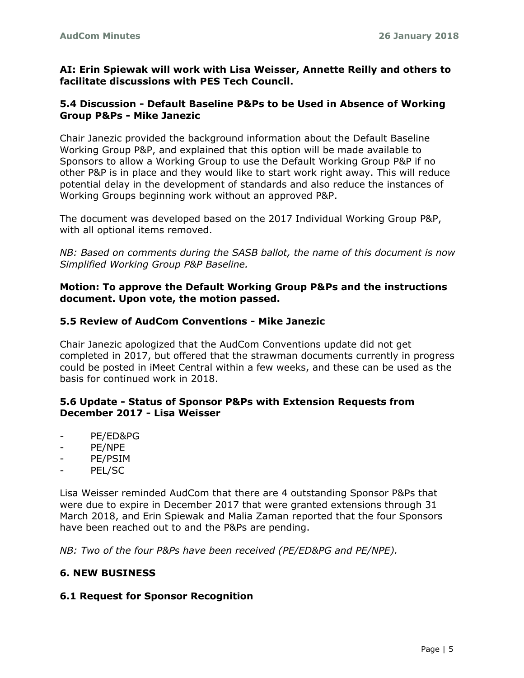**AI: Erin Spiewak will work with Lisa Weisser, Annette Reilly and others to facilitate discussions with PES Tech Council.**

## **5.4 Discussion - Default Baseline P&Ps to be Used in Absence of Working Group P&Ps - Mike Janezic**

Chair Janezic provided the background information about the Default Baseline Working Group P&P, and explained that this option will be made available to Sponsors to allow a Working Group to use the Default Working Group P&P if no other P&P is in place and they would like to start work right away. This will reduce potential delay in the development of standards and also reduce the instances of Working Groups beginning work without an approved P&P.

The document was developed based on the 2017 Individual Working Group P&P, with all optional items removed.

*NB: Based on comments during the SASB ballot, the name of this document is now Simplified Working Group P&P Baseline.*

#### **Motion: To approve the Default Working Group P&Ps and the instructions document. Upon vote, the motion passed.**

#### **5.5 Review of AudCom Conventions - Mike Janezic**

Chair Janezic apologized that the AudCom Conventions update did not get completed in 2017, but offered that the strawman documents currently in progress could be posted in iMeet Central within a few weeks, and these can be used as the basis for continued work in 2018.

#### **5.6 Update - Status of Sponsor P&Ps with Extension Requests from December 2017 - Lisa Weisser**

- PE/ED&PG
- PE/NPE
- PE/PSIM
- PEL/SC

Lisa Weisser reminded AudCom that there are 4 outstanding Sponsor P&Ps that were due to expire in December 2017 that were granted extensions through 31 March 2018, and Erin Spiewak and Malia Zaman reported that the four Sponsors have been reached out to and the P&Ps are pending.

*NB: Two of the four P&Ps have been received (PE/ED&PG and PE/NPE).*

#### **6. NEW BUSINESS**

#### **6.1 Request for Sponsor Recognition**